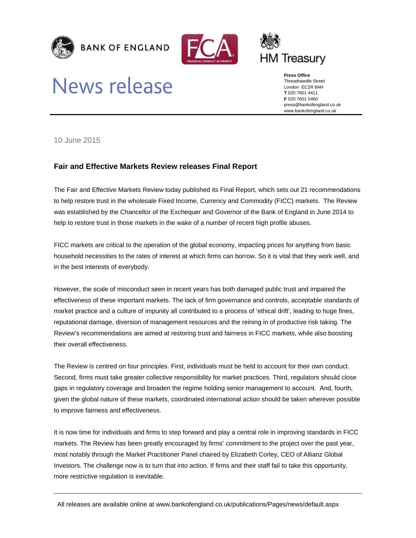





# **News release**

**Press Office**  Threadneedle Street London EC2R 8AH **T** 020 7601 4411 **F** 020 7601 5460 press@bankofengland.co.uk www.bankofengland.co.uk

## 10 June 2015

## **Fair and Effective Markets Review releases Final Report**

The Fair and Effective Markets Review today published its Final Report, which sets out 21 recommendations to help restore trust in the wholesale Fixed Income, Currency and Commodity (FICC) markets. The Review was established by the Chancellor of the Exchequer and Governor of the Bank of England in June 2014 to help to restore trust in those markets in the wake of a number of recent high profile abuses.

FICC markets are critical to the operation of the global economy, impacting prices for anything from basic household necessities to the rates of interest at which firms can borrow. So it is vital that they work well, and in the best interests of everybody.

However, the scale of misconduct seen in recent years has both damaged public trust and impaired the effectiveness of these important markets. The lack of firm governance and controls, acceptable standards of market practice and a culture of impunity all contributed to a process of 'ethical drift', leading to huge fines, reputational damage, diversion of management resources and the reining in of productive risk taking. The Review's recommendations are aimed at restoring trust and fairness in FICC markets, while also boosting their overall effectiveness.

The Review is centred on four principles. First, individuals must be held to account for their own conduct. Second, firms must take greater collective responsibility for market practices. Third, regulators should close gaps in regulatory coverage and broaden the regime holding senior management to account. And, fourth, given the global nature of these markets, coordinated international action should be taken wherever possible to improve fairness and effectiveness.

It is now time for individuals and firms to step forward and play a central role in improving standards in FICC markets. The Review has been greatly encouraged by firms' commitment to the project over the past year, most notably through the Market Practitioner Panel chaired by Elizabeth Corley, CEO of Allianz Global Investors. The challenge now is to turn that into action. If firms and their staff fail to take this opportunity, more restrictive regulation is inevitable.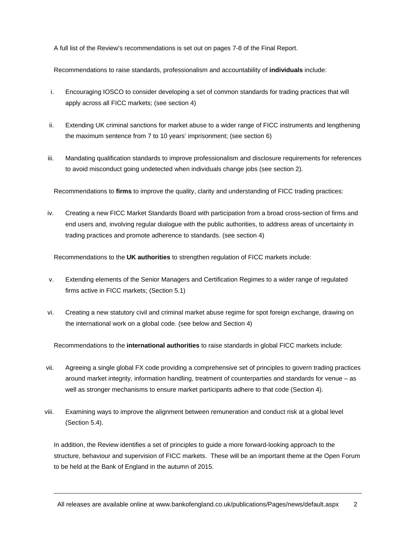A full list of the Review's recommendations is set out on pages 7-8 of the Final Report.

Recommendations to raise standards, professionalism and accountability of **individuals** include:

- i. Encouraging IOSCO to consider developing a set of common standards for trading practices that will apply across all FICC markets; (see section 4)
- ii. Extending UK criminal sanctions for market abuse to a wider range of FICC instruments and lengthening the maximum sentence from 7 to 10 years' imprisonment; (see section 6)
- iii. Mandating qualification standards to improve professionalism and disclosure requirements for references to avoid misconduct going undetected when individuals change jobs (see section 2).

Recommendations to **firms** to improve the quality, clarity and understanding of FICC trading practices:

iv. Creating a new FICC Market Standards Board with participation from a broad cross-section of firms and end users and, involving regular dialogue with the public authorities, to address areas of uncertainty in trading practices and promote adherence to standards. (see section 4)

Recommendations to the **UK authorities** to strengthen regulation of FICC markets include:

- v. Extending elements of the Senior Managers and Certification Regimes to a wider range of regulated firms active in FICC markets; (Section 5.1)
- vi. Creating a new statutory civil and criminal market abuse regime for spot foreign exchange, drawing on the international work on a global code. (see below and Section 4)

Recommendations to the **international authorities** to raise standards in global FICC markets include:

- vii. Agreeing a single global FX code providing a comprehensive set of principles to govern trading practices around market integrity, information handling, treatment of counterparties and standards for venue – as well as stronger mechanisms to ensure market participants adhere to that code (Section 4).
- viii. Examining ways to improve the alignment between remuneration and conduct risk at a global level (Section 5.4).

In addition, the Review identifies a set of principles to guide a more forward-looking approach to the structure, behaviour and supervision of FICC markets. These will be an important theme at the Open Forum to be held at the Bank of England in the autumn of 2015.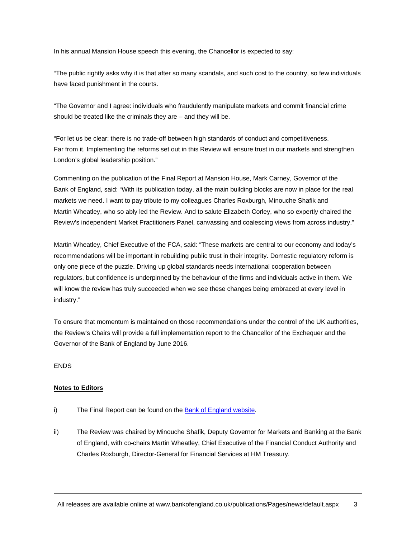In his annual Mansion House speech this evening, the Chancellor is expected to say:

"The public rightly asks why it is that after so many scandals, and such cost to the country, so few individuals have faced punishment in the courts.

"The Governor and I agree: individuals who fraudulently manipulate markets and commit financial crime should be treated like the criminals they are – and they will be.

"For let us be clear: there is no trade-off between high standards of conduct and competitiveness. Far from it. Implementing the reforms set out in this Review will ensure trust in our markets and strengthen London's global leadership position."

Commenting on the publication of the Final Report at Mansion House, Mark Carney, Governor of the Bank of England, said: "With its publication today, all the main building blocks are now in place for the real markets we need. I want to pay tribute to my colleagues Charles Roxburgh, Minouche Shafik and Martin Wheatley, who so ably led the Review. And to salute Elizabeth Corley, who so expertly chaired the Review's independent Market Practitioners Panel, canvassing and coalescing views from across industry."

Martin Wheatley, Chief Executive of the FCA, said: "These markets are central to our economy and today's recommendations will be important in rebuilding public trust in their integrity. Domestic regulatory reform is only one piece of the puzzle. Driving up global standards needs international cooperation between regulators, but confidence is underpinned by the behaviour of the firms and individuals active in them. We will know the review has truly succeeded when we see these changes being embraced at every level in industry."

To ensure that momentum is maintained on those recommendations under the control of the UK authorities, the Review's Chairs will provide a full implementation report to the Chancellor of the Exchequer and the Governor of the Bank of England by June 2016.

#### ENDS

#### **Notes to Editors**

- i) The Final Report can be found on the Bank of England website.
- ii) The Review was chaired by Minouche Shafik, Deputy Governor for Markets and Banking at the Bank of England, with co-chairs Martin Wheatley, Chief Executive of the Financial Conduct Authority and Charles Roxburgh, Director-General for Financial Services at HM Treasury.